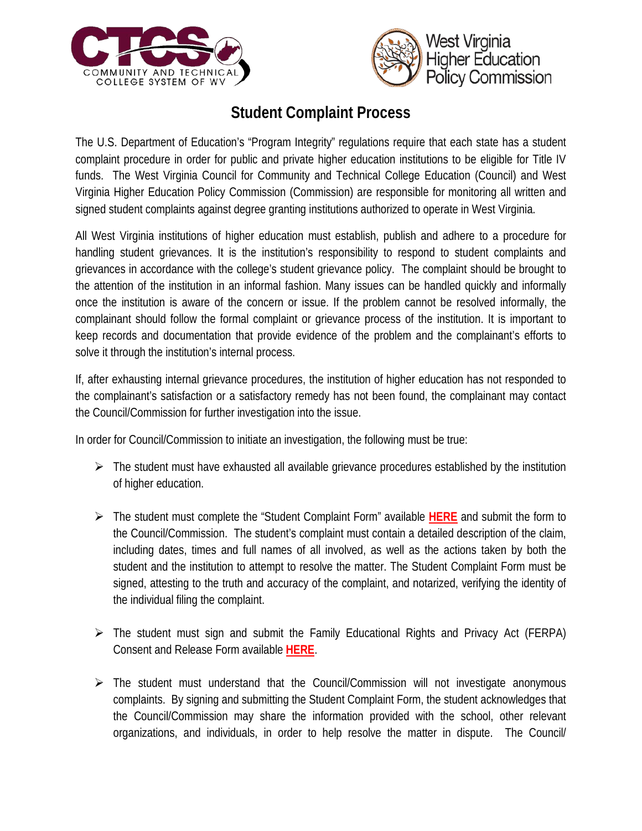



## **Student Complaint Process**

The U.S. Department of Education's "Program Integrity" regulations require that each state has a student complaint procedure in order for public and private higher education institutions to be eligible for Title IV funds. The West Virginia Council for Community and Technical College Education (Council) and West Virginia Higher Education Policy Commission (Commission) are responsible for monitoring all written and signed student complaints against degree granting institutions authorized to operate in West Virginia.

All West Virginia institutions of higher education must establish, publish and adhere to a procedure for handling student grievances. It is the institution's responsibility to respond to student complaints and grievances in accordance with the college's student grievance policy. The complaint should be brought to the attention of the institution in an informal fashion. Many issues can be handled quickly and informally once the institution is aware of the concern or issue. If the problem cannot be resolved informally, the complainant should follow the formal complaint or grievance process of the institution. It is important to keep records and documentation that provide evidence of the problem and the complainant's efforts to solve it through the institution's internal process.

If, after exhausting internal grievance procedures, the institution of higher education has not responded to the complainant's satisfaction or a satisfactory remedy has not been found, the complainant may contact the Council/Commission for further investigation into the issue.

In order for Council/Commission to initiate an investigation, the following must be true:

- $\triangleright$  The student must have exhausted all available grievance procedures established by the institution of higher education.
- The student must complete the "Student Complaint Form" available **[HERE](http://www.wvhepc.com/wp-content/uploads/2014/06/Complaint-Form.pdf)** and submit the form to the Council/Commission. The student's complaint must contain a detailed description of the claim, including dates, times and full names of all involved, as well as the actions taken by both the student and the institution to attempt to resolve the matter. The Student Complaint Form must be signed, attesting to the truth and accuracy of the complaint, and notarized, verifying the identity of the individual filing the complaint.
- $\triangleright$  The student must sign and submit the Family Educational Rights and Privacy Act (FERPA) Consent and Release Form available **[HERE](http://www.wvhepc.com/wp-content/uploads/2014/06/FERPA-Form.pdf)**.
- $\triangleright$  The student must understand that the Council/Commission will not investigate anonymous complaints. By signing and submitting the Student Complaint Form, the student acknowledges that the Council/Commission may share the information provided with the school, other relevant organizations, and individuals, in order to help resolve the matter in dispute. The Council/